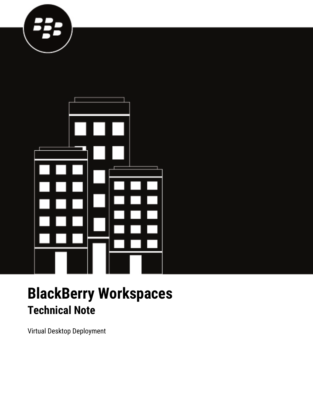



# **BlackBerry Workspaces Technical Note**

Virtual Desktop Deployment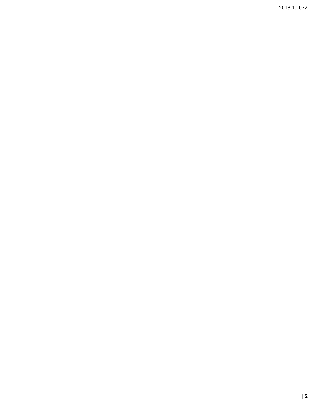2018-10-07Z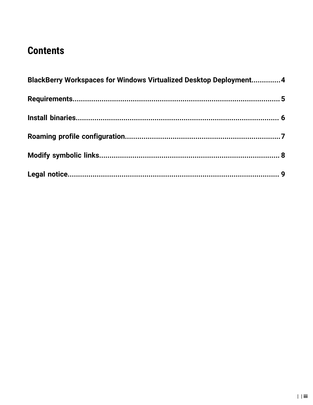#### **Contents**

| BlackBerry Workspaces for Windows Virtualized Desktop Deployment4 |  |
|-------------------------------------------------------------------|--|
|                                                                   |  |
|                                                                   |  |
|                                                                   |  |
|                                                                   |  |
|                                                                   |  |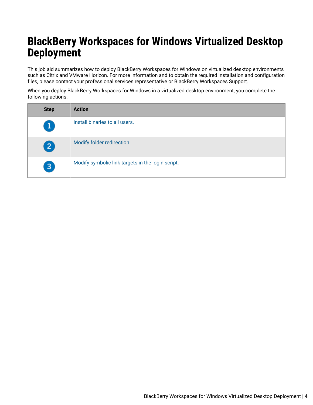#### <span id="page-3-0"></span>**BlackBerry Workspaces for Windows Virtualized Desktop Deployment**

This job aid summarizes how to deploy BlackBerry Workspaces for Windows on virtualized desktop environments such as Citrix and VMware Horizon. For more information and to obtain the required installation and configuration files, please contact your professional services representative or BlackBerry Workspaces Support.

When you deploy BlackBerry Workspaces for Windows in a virtualized desktop environment, you complete the following actions:

| <b>Step</b>       | <b>Action</b>                                     |
|-------------------|---------------------------------------------------|
| $\mathbf{1}$      | Install binaries to all users.                    |
| $\left( 2\right)$ | Modify folder redirection.                        |
| 3                 | Modify symbolic link targets in the login script. |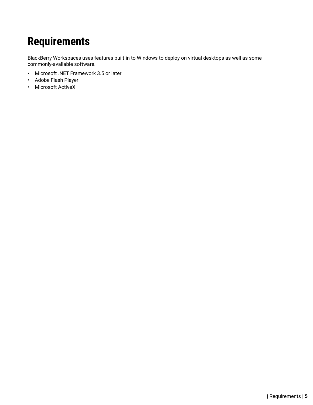### <span id="page-4-0"></span>**Requirements**

BlackBerry Workspaces uses features built-in to Windows to deploy on virtual desktops as well as some commonly-available software.

- Microsoft .NET Framework 3.5 or later
- Adobe Flash Player
- Microsoft ActiveX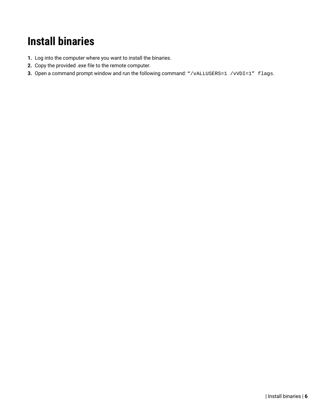# <span id="page-5-0"></span>**Install binaries**

- **1.** Log into the computer where you want to install the binaries.
- **2.** Copy the provided .exe file to the remote computer.
- **3.** Open a command prompt window and run the following command: "/vALLUSERS=1 /vVDI=1" flags.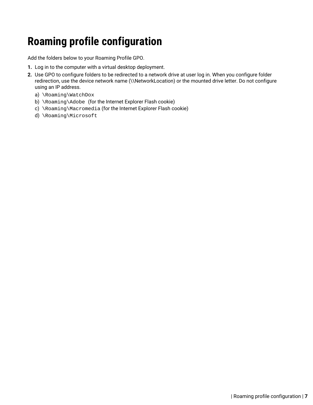## <span id="page-6-0"></span>**Roaming profile configuration**

Add the folders below to your Roaming Profile GPO.

- **1.** Log in to the computer with a virtual desktop deployment.
- **2.** Use GPO to configure folders to be redirected to a network drive at user log in. When you configure folder redirection, use the device network name (\\NetworkLocation) or the mounted drive letter. Do not configure using an IP address.
	- a) \Roaming\WatchDox
	- b) \Roaming\Adobe (for the Internet Explorer Flash cookie)
	- c) \Roaming\Macromedia (for the Internet Explorer Flash cookie)
	- d) \Roaming\Microsoft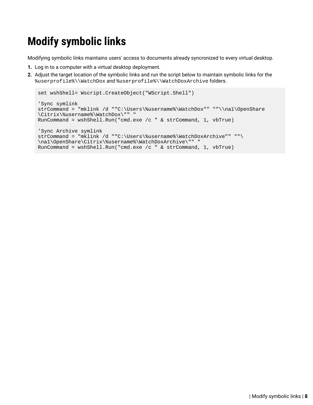### <span id="page-7-0"></span>**Modify symbolic links**

Modifying symbolic links maintains users' access to documents already syncronized to every virtual desktop.

- **1.** Log in to a computer with a virtual desktop deployment.
- **2.** Adjust the target location of the symbolic links and run the script below to maintain symbolic links for the %userprofile%\\WatchDox and %userprofile%\\WatchDoxArchive folders.

```
set wshShell= Wscript.CreateObject("WScript.Shell")
'Sync symlink
strCommand = "mklink /d ""C:\Users\%username%\WatchDox"" ""\\na1\OpenShare
\Citrix\%username%\WatchDox\"" "
RunCommand = wshShell.Run("cmd.exe /c " & strCommand, 1, vbTrue)
'Sync Archive symlink
strCommand = "mklink /d ""C:\Users\%username%\WatchDoxArchive"" ""\
\na1\OpenShare\Citrix\%username%\WatchDoxArchive\"" "
RunCommand = wshShell.Run("cmd.exe /c " & strCommand, 1, vbTrue)
```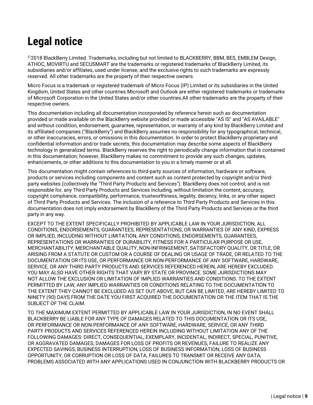### <span id="page-8-0"></span>**Legal notice**

©2018 BlackBerry Limited. Trademarks, including but not limited to BLACKBERRY, BBM, BES, EMBLEM Design, ATHOC, MOVIRTU and SECUSMART are the trademarks or registered trademarks of BlackBerry Limited, its subsidiaries and/or affiliates, used under license, and the exclusive rights to such trademarks are expressly reserved. All other trademarks are the property of their respective owners.

Micro Focus is a trademark or registered trademark of Micro Focus (IP) Limited or its subsidiaries in the United Kingdom, United States and other countries.Microsoft and Outlook are either registered trademarks or trademarks of Microsoft Corporation in the United States and/or other countries.All other trademarks are the property of their respective owners.

This documentation including all documentation incorporated by reference herein such as documentation provided or made available on the BlackBerry website provided or made accessible "AS IS" and "AS AVAILABLE" and without condition, endorsement, guarantee, representation, or warranty of any kind by BlackBerry Limited and its affiliated companies ("BlackBerry") and BlackBerry assumes no responsibility for any typographical, technical, or other inaccuracies, errors, or omissions in this documentation. In order to protect BlackBerry proprietary and confidential information and/or trade secrets, this documentation may describe some aspects of BlackBerry technology in generalized terms. BlackBerry reserves the right to periodically change information that is contained in this documentation; however, BlackBerry makes no commitment to provide any such changes, updates, enhancements, or other additions to this documentation to you in a timely manner or at all.

This documentation might contain references to third-party sources of information, hardware or software, products or services including components and content such as content protected by copyright and/or thirdparty websites (collectively the "Third Party Products and Services"). BlackBerry does not control, and is not responsible for, any Third Party Products and Services including, without limitation the content, accuracy, copyright compliance, compatibility, performance, trustworthiness, legality, decency, links, or any other aspect of Third Party Products and Services. The inclusion of a reference to Third Party Products and Services in this documentation does not imply endorsement by BlackBerry of the Third Party Products and Services or the third party in any way.

EXCEPT TO THE EXTENT SPECIFICALLY PROHIBITED BY APPLICABLE LAW IN YOUR JURISDICTION, ALL CONDITIONS, ENDORSEMENTS, GUARANTEES, REPRESENTATIONS, OR WARRANTIES OF ANY KIND, EXPRESS OR IMPLIED, INCLUDING WITHOUT LIMITATION, ANY CONDITIONS, ENDORSEMENTS, GUARANTEES, REPRESENTATIONS OR WARRANTIES OF DURABILITY, FITNESS FOR A PARTICULAR PURPOSE OR USE, MERCHANTABILITY, MERCHANTABLE QUALITY, NON-INFRINGEMENT, SATISFACTORY QUALITY, OR TITLE, OR ARISING FROM A STATUTE OR CUSTOM OR A COURSE OF DEALING OR USAGE OF TRADE, OR RELATED TO THE DOCUMENTATION OR ITS USE, OR PERFORMANCE OR NON-PERFORMANCE OF ANY SOFTWARE, HARDWARE, SERVICE, OR ANY THIRD PARTY PRODUCTS AND SERVICES REFERENCED HEREIN, ARE HEREBY EXCLUDED. YOU MAY ALSO HAVE OTHER RIGHTS THAT VARY BY STATE OR PROVINCE. SOME JURISDICTIONS MAY NOT ALLOW THE EXCLUSION OR LIMITATION OF IMPLIED WARRANTIES AND CONDITIONS. TO THE EXTENT PERMITTED BY LAW, ANY IMPLIED WARRANTIES OR CONDITIONS RELATING TO THE DOCUMENTATION TO THE EXTENT THEY CANNOT BE EXCLUDED AS SET OUT ABOVE, BUT CAN BE LIMITED, ARE HEREBY LIMITED TO NINETY (90) DAYS FROM THE DATE YOU FIRST ACQUIRED THE DOCUMENTATION OR THE ITEM THAT IS THE SUBJECT OF THE CLAIM.

TO THE MAXIMUM EXTENT PERMITTED BY APPLICABLE LAW IN YOUR JURISDICTION, IN NO EVENT SHALL BLACKBERRY BE LIABLE FOR ANY TYPE OF DAMAGES RELATED TO THIS DOCUMENTATION OR ITS USE, OR PERFORMANCE OR NON-PERFORMANCE OF ANY SOFTWARE, HARDWARE, SERVICE, OR ANY THIRD PARTY PRODUCTS AND SERVICES REFERENCED HEREIN INCLUDING WITHOUT LIMITATION ANY OF THE FOLLOWING DAMAGES: DIRECT, CONSEQUENTIAL, EXEMPLARY, INCIDENTAL, INDIRECT, SPECIAL, PUNITIVE, OR AGGRAVATED DAMAGES, DAMAGES FOR LOSS OF PROFITS OR REVENUES, FAILURE TO REALIZE ANY EXPECTED SAVINGS, BUSINESS INTERRUPTION, LOSS OF BUSINESS INFORMATION, LOSS OF BUSINESS OPPORTUNITY, OR CORRUPTION OR LOSS OF DATA, FAILURES TO TRANSMIT OR RECEIVE ANY DATA, PROBLEMS ASSOCIATED WITH ANY APPLICATIONS USED IN CONJUNCTION WITH BLACKBERRY PRODUCTS OR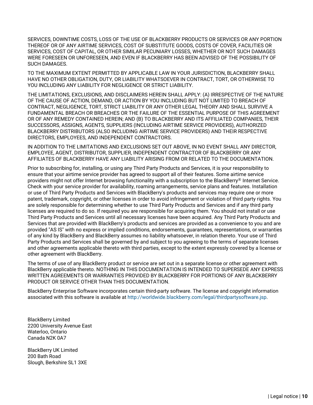SERVICES, DOWNTIME COSTS, LOSS OF THE USE OF BLACKBERRY PRODUCTS OR SERVICES OR ANY PORTION THEREOF OR OF ANY AIRTIME SERVICES, COST OF SUBSTITUTE GOODS, COSTS OF COVER, FACILITIES OR SERVICES, COST OF CAPITAL, OR OTHER SIMILAR PECUNIARY LOSSES, WHETHER OR NOT SUCH DAMAGES WERE FORESEEN OR UNFORESEEN, AND EVEN IF BLACKBERRY HAS BEEN ADVISED OF THE POSSIBILITY OF SUCH DAMAGES.

TO THE MAXIMUM EXTENT PERMITTED BY APPLICABLE LAW IN YOUR JURISDICTION, BLACKBERRY SHALL HAVE NO OTHER OBLIGATION, DUTY, OR LIABILITY WHATSOEVER IN CONTRACT, TORT, OR OTHERWISE TO YOU INCLUDING ANY LIABILITY FOR NEGLIGENCE OR STRICT LIABILITY.

THE LIMITATIONS, EXCLUSIONS, AND DISCLAIMERS HEREIN SHALL APPLY: (A) IRRESPECTIVE OF THE NATURE OF THE CAUSE OF ACTION, DEMAND, OR ACTION BY YOU INCLUDING BUT NOT LIMITED TO BREACH OF CONTRACT, NEGLIGENCE, TORT, STRICT LIABILITY OR ANY OTHER LEGAL THEORY AND SHALL SURVIVE A FUNDAMENTAL BREACH OR BREACHES OR THE FAILURE OF THE ESSENTIAL PURPOSE OF THIS AGREEMENT OR OF ANY REMEDY CONTAINED HEREIN; AND (B) TO BLACKBERRY AND ITS AFFILIATED COMPANIES, THEIR SUCCESSORS, ASSIGNS, AGENTS, SUPPLIERS (INCLUDING AIRTIME SERVICE PROVIDERS), AUTHORIZED BLACKBERRY DISTRIBUTORS (ALSO INCLUDING AIRTIME SERVICE PROVIDERS) AND THEIR RESPECTIVE DIRECTORS, EMPLOYEES, AND INDEPENDENT CONTRACTORS.

IN ADDITION TO THE LIMITATIONS AND EXCLUSIONS SET OUT ABOVE, IN NO EVENT SHALL ANY DIRECTOR, EMPLOYEE, AGENT, DISTRIBUTOR, SUPPLIER, INDEPENDENT CONTRACTOR OF BLACKBERRY OR ANY AFFILIATES OF BLACKBERRY HAVE ANY LIABILITY ARISING FROM OR RELATED TO THE DOCUMENTATION.

Prior to subscribing for, installing, or using any Third Party Products and Services, it is your responsibility to ensure that your airtime service provider has agreed to support all of their features. Some airtime service providers might not offer Internet browsing functionality with a subscription to the BlackBerry® Internet Service. Check with your service provider for availability, roaming arrangements, service plans and features. Installation or use of Third Party Products and Services with BlackBerry's products and services may require one or more patent, trademark, copyright, or other licenses in order to avoid infringement or violation of third party rights. You are solely responsible for determining whether to use Third Party Products and Services and if any third party licenses are required to do so. If required you are responsible for acquiring them. You should not install or use Third Party Products and Services until all necessary licenses have been acquired. Any Third Party Products and Services that are provided with BlackBerry's products and services are provided as a convenience to you and are provided "AS IS" with no express or implied conditions, endorsements, guarantees, representations, or warranties of any kind by BlackBerry and BlackBerry assumes no liability whatsoever, in relation thereto. Your use of Third Party Products and Services shall be governed by and subject to you agreeing to the terms of separate licenses and other agreements applicable thereto with third parties, except to the extent expressly covered by a license or other agreement with BlackBerry.

The terms of use of any BlackBerry product or service are set out in a separate license or other agreement with BlackBerry applicable thereto. NOTHING IN THIS DOCUMENTATION IS INTENDED TO SUPERSEDE ANY EXPRESS WRITTEN AGREEMENTS OR WARRANTIES PROVIDED BY BLACKBERRY FOR PORTIONS OF ANY BLACKBERRY PRODUCT OR SERVICE OTHER THAN THIS DOCUMENTATION.

BlackBerry Enterprise Software incorporates certain third-party software. The license and copyright information associated with this software is available at [http://worldwide.blackberry.com/legal/thirdpartysoftware.jsp.](http://worldwide.blackberry.com/legal/thirdpartysoftware.jsp)

BlackBerry Limited 2200 University Avenue East Waterloo, Ontario Canada N2K 0A7

BlackBerry UK Limited 200 Bath Road Slough, Berkshire SL1 3XE